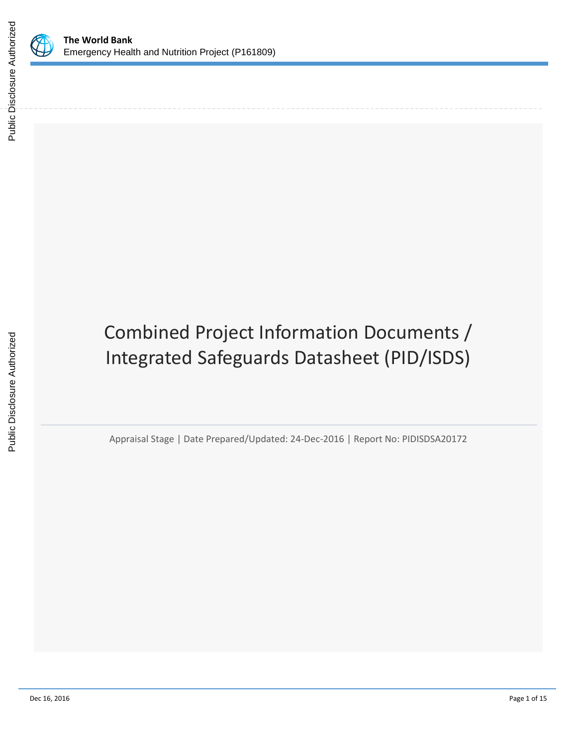

# Combined Project Information Documents / Integrated Safeguards Datasheet (PID/ISDS)

Appraisal Stage | Date Prepared/Updated: 24-Dec-2016 | Report No: PIDISDSA20172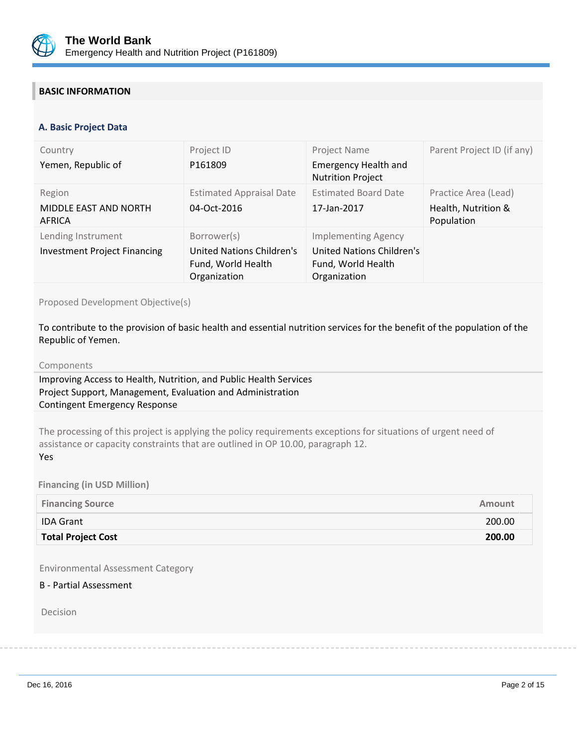

## **BASIC INFORMATION**

#### **OPS\_TABLE\_BASIC\_DATA A. Basic Project Data**

| Country<br>Yemen, Republic of                             | Project ID<br>P161809                                                          | Project Name<br><b>Emergency Health and</b><br><b>Nutrition Project</b>                       | Parent Project ID (if any)                                |
|-----------------------------------------------------------|--------------------------------------------------------------------------------|-----------------------------------------------------------------------------------------------|-----------------------------------------------------------|
| Region<br>MIDDLE EAST AND NORTH<br>AFRICA                 | <b>Estimated Appraisal Date</b><br>04-Oct-2016                                 | <b>Estimated Board Date</b><br>17-Jan-2017                                                    | Practice Area (Lead)<br>Health, Nutrition &<br>Population |
| Lending Instrument<br><b>Investment Project Financing</b> | Borrower(s)<br>United Nations Children's<br>Fund, World Health<br>Organization | <b>Implementing Agency</b><br>United Nations Children's<br>Fund, World Health<br>Organization |                                                           |

Proposed Development Objective(s)

To contribute to the provision of basic health and essential nutrition services for the benefit of the population of the Republic of Yemen.

#### Components

Improving Access to Health, Nutrition, and Public Health Services Project Support, Management, Evaluation and Administration Contingent Emergency Response

The processing of this project is applying the policy requirements exceptions for situations of urgent need of assistance or capacity constraints that are outlined in OP 10.00, paragraph 12. Yes

**Financing (in USD Million)**

| <b>Financing Source</b>   | <b>Amount</b> |
|---------------------------|---------------|
| <b>IDA Grant</b>          | 200.00        |
| <b>Total Project Cost</b> | 200.00        |

Environmental Assessment Category

## B - Partial Assessment

Decision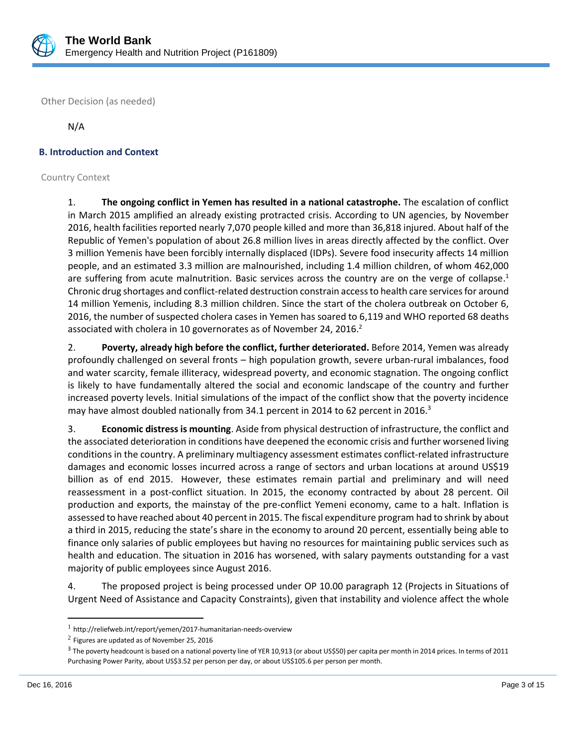

Other Decision (as needed)

N/A

## **B. Introduction and Context**

#### Country Context

1. **The ongoing conflict in Yemen has resulted in a national catastrophe.** The escalation of conflict in March 2015 amplified an already existing protracted crisis. According to UN agencies, by November 2016, health facilities reported nearly 7,070 people killed and more than 36,818 injured. About half of the Republic of Yemen's population of about 26.8 million lives in areas directly affected by the conflict. Over 3 million Yemenis have been forcibly internally displaced (IDPs). Severe food insecurity affects 14 million people, and an estimated 3.3 million are malnourished, including 1.4 million children, of whom 462,000 are suffering from acute malnutrition. Basic services across the country are on the verge of collapse.<sup>1</sup> Chronic drug shortages and conflict-related destruction constrain access to health care services for around 14 million Yemenis, including 8.3 million children. Since the start of the cholera outbreak on October 6, 2016, the number of suspected cholera cases in Yemen has soared to 6,119 and WHO reported 68 deaths associated with cholera in 10 governorates as of November 24, 2016.<sup>2</sup>

2. **Poverty, already high before the conflict, further deteriorated.** Before 2014, Yemen was already profoundly challenged on several fronts – high population growth, severe urban-rural imbalances, food and water scarcity, female illiteracy, widespread poverty, and economic stagnation. The ongoing conflict is likely to have fundamentally altered the social and economic landscape of the country and further increased poverty levels. Initial simulations of the impact of the conflict show that the poverty incidence may have almost doubled nationally from 34.1 percent in 2014 to 62 percent in 2016.<sup>3</sup>

3. **Economic distress is mounting**. Aside from physical destruction of infrastructure, the conflict and the associated deterioration in conditions have deepened the economic crisis and further worsened living conditions in the country. A preliminary multiagency assessment estimates conflict-related infrastructure damages and economic losses incurred across a range of sectors and urban locations at around US\$19 billion as of end 2015. However, these estimates remain partial and preliminary and will need reassessment in a post-conflict situation. In 2015, the economy contracted by about 28 percent. Oil production and exports, the mainstay of the pre-conflict Yemeni economy, came to a halt. Inflation is assessed to have reached about 40 percent in 2015. The fiscal expenditure program had to shrink by about a third in 2015, reducing the state's share in the economy to around 20 percent, essentially being able to finance only salaries of public employees but having no resources for maintaining public services such as health and education. The situation in 2016 has worsened, with salary payments outstanding for a vast majority of public employees since August 2016.

4. The proposed project is being processed under OP 10.00 paragraph 12 (Projects in Situations of Urgent Need of Assistance and Capacity Constraints), given that instability and violence affect the whole

 $\overline{\phantom{a}}$ 

<sup>1</sup> <http://reliefweb.int/report/yemen/2017-humanitarian-needs-overview>

 $^2$  Figures are updated as of November 25, 2016

 $^3$  The poverty headcount is based on a national poverty line of YER 10,913 (or about US\$50) per capita per month in 2014 prices. In terms of 2011 Purchasing Power Parity, about US\$3.52 per person per day, or about US\$105.6 per person per month.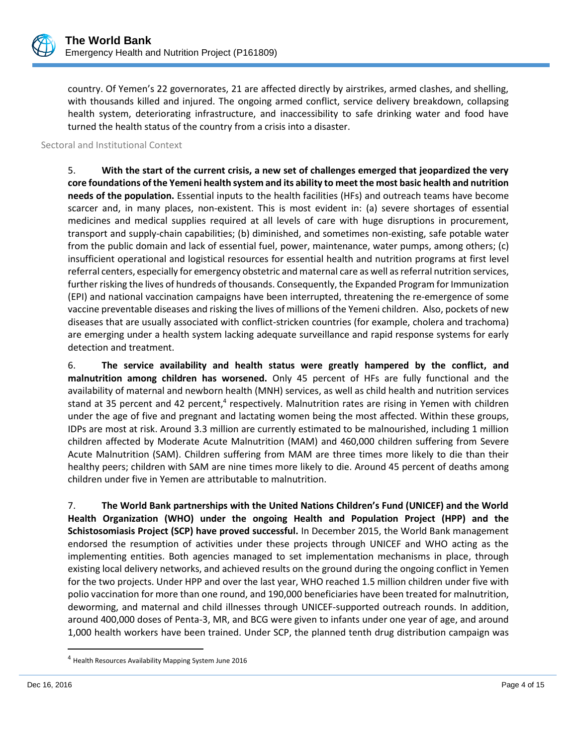

country. Of Yemen's 22 governorates, 21 are affected directly by airstrikes, armed clashes, and shelling, with thousands killed and injured. The ongoing armed conflict, service delivery breakdown, collapsing health system, deteriorating infrastructure, and inaccessibility to safe drinking water and food have turned the health status of the country from a crisis into a disaster.

Sectoral and Institutional Context

5. **With the start of the current crisis, a new set of challenges emerged that jeopardized the very core foundations of the Yemeni health system and its ability to meet the most basic health and nutrition needs of the population.** Essential inputs to the health facilities (HFs) and outreach teams have become scarcer and, in many places, non-existent. This is most evident in: (a) severe shortages of essential medicines and medical supplies required at all levels of care with huge disruptions in procurement, transport and supply-chain capabilities; (b) diminished, and sometimes non-existing, safe potable water from the public domain and lack of essential fuel, power, maintenance, water pumps, among others; (c) insufficient operational and logistical resources for essential health and nutrition programs at first level referral centers, especially for emergency obstetric and maternal care as well as referral nutrition services, further risking the lives of hundreds of thousands. Consequently, the Expanded Program for Immunization (EPI) and national vaccination campaigns have been interrupted, threatening the re-emergence of some vaccine preventable diseases and risking the lives of millions of the Yemeni children. Also, pockets of new diseases that are usually associated with conflict-stricken countries (for example, cholera and trachoma) are emerging under a health system lacking adequate surveillance and rapid response systems for early detection and treatment.

6. **The service availability and health status were greatly hampered by the conflict, and malnutrition among children has worsened.** Only 45 percent of HFs are fully functional and the availability of maternal and newborn health (MNH) services, as well as child health and nutrition services stand at 35 percent and 42 percent,<sup>4</sup> respectively. Malnutrition rates are rising in Yemen with children under the age of five and pregnant and lactating women being the most affected. Within these groups, IDPs are most at risk. Around 3.3 million are currently estimated to be malnourished, including 1 million children affected by Moderate Acute Malnutrition (MAM) and 460,000 children suffering from Severe Acute Malnutrition (SAM). Children suffering from MAM are three times more likely to die than their healthy peers; children with SAM are nine times more likely to die. Around 45 percent of deaths among children under five in Yemen are attributable to malnutrition.

7. **The World Bank partnerships with the United Nations Children's Fund (UNICEF) and the World Health Organization (WHO) under the ongoing Health and Population Project (HPP) and the Schistosomiasis Project (SCP) have proved successful.** In December 2015, the World Bank management endorsed the resumption of activities under these projects through UNICEF and WHO acting as the implementing entities. Both agencies managed to set implementation mechanisms in place, through existing local delivery networks, and achieved results on the ground during the ongoing conflict in Yemen for the two projects. Under HPP and over the last year, WHO reached 1.5 million children under five with polio vaccination for more than one round, and 190,000 beneficiaries have been treated for malnutrition, deworming, and maternal and child illnesses through UNICEF-supported outreach rounds. In addition, around 400,000 doses of Penta-3, MR, and BCG were given to infants under one year of age, and around 1,000 health workers have been trained. Under SCP, the planned tenth drug distribution campaign was

 $\overline{a}$ 

<sup>4</sup> Health Resources Availability Mapping System June 2016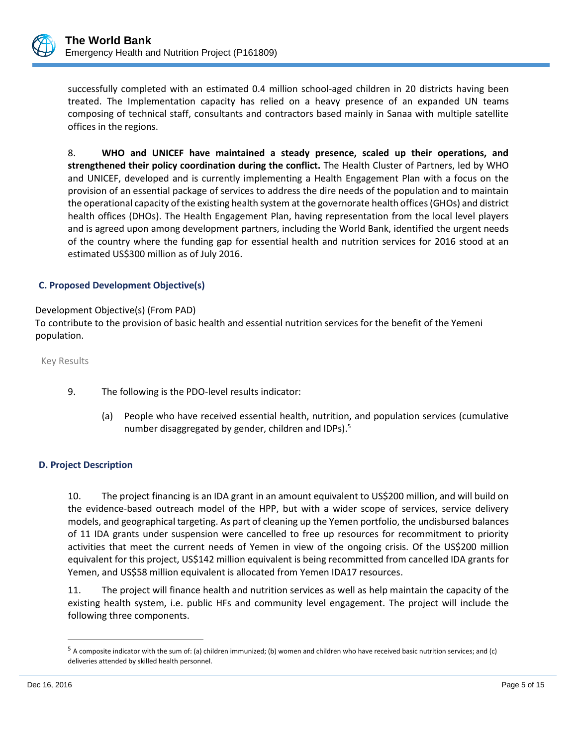

successfully completed with an estimated 0.4 million school-aged children in 20 districts having been treated. The Implementation capacity has relied on a heavy presence of an expanded UN teams composing of technical staff, consultants and contractors based mainly in Sanaa with multiple satellite offices in the regions.

8. **WHO and UNICEF have maintained a steady presence, scaled up their operations, and strengthened their policy coordination during the conflict.** The Health Cluster of Partners, led by WHO and UNICEF, developed and is currently implementing a Health Engagement Plan with a focus on the provision of an essential package of services to address the dire needs of the population and to maintain the operational capacity of the existing health system at the governorate health offices (GHOs) and district health offices (DHOs). The Health Engagement Plan, having representation from the local level players and is agreed upon among development partners, including the World Bank, identified the urgent needs of the country where the funding gap for essential health and nutrition services for 2016 stood at an estimated US\$300 million as of July 2016.

## **C. Proposed Development Objective(s)**

### Development Objective(s) (From PAD)

To contribute to the provision of basic health and essential nutrition services for the benefit of the Yemeni population.

Key Results

- 9. The following is the PDO-level results indicator:
	- (a) People who have received essential health, nutrition, and population services (cumulative number disaggregated by gender, children and IDPs).<sup>5</sup>

#### **D. Project Description**

10. The project financing is an IDA grant in an amount equivalent to US\$200 million, and will build on the evidence-based outreach model of the HPP, but with a wider scope of services, service delivery models, and geographical targeting. As part of cleaning up the Yemen portfolio, the undisbursed balances of 11 IDA grants under suspension were cancelled to free up resources for recommitment to priority activities that meet the current needs of Yemen in view of the ongoing crisis. Of the US\$200 million equivalent for this project, US\$142 million equivalent is being recommitted from cancelled IDA grants for Yemen, and US\$58 million equivalent is allocated from Yemen IDA17 resources.

11. The project will finance health and nutrition services as well as help maintain the capacity of the existing health system, i.e. public HFs and community level engagement. The project will include the following three components.

 $\overline{a}$ 

<sup>5</sup> A composite indicator with the sum of: (a) children immunized; (b) women and children who have received basic nutrition services; and (c) deliveries attended by skilled health personnel.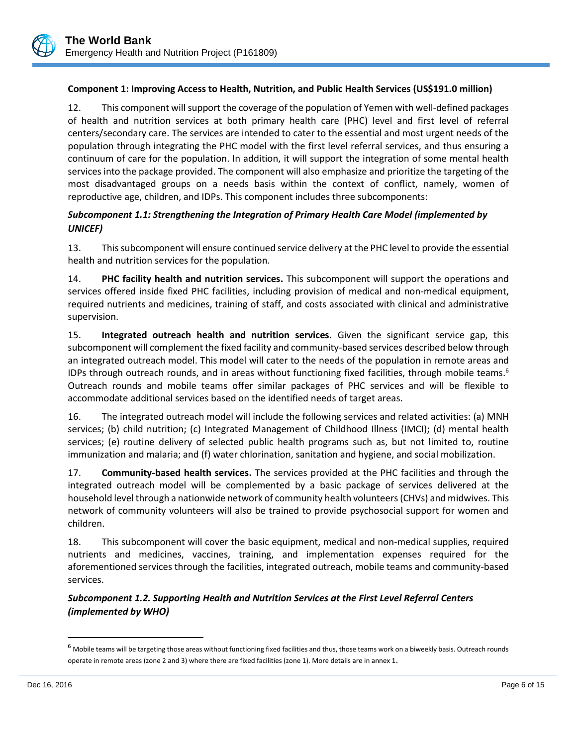## **Component 1: Improving Access to Health, Nutrition, and Public Health Services (US\$191.0 million)**

12. This component will support the coverage of the population of Yemen with well-defined packages of health and nutrition services at both primary health care (PHC) level and first level of referral centers/secondary care. The services are intended to cater to the essential and most urgent needs of the population through integrating the PHC model with the first level referral services, and thus ensuring a continuum of care for the population. In addition, it will support the integration of some mental health services into the package provided. The component will also emphasize and prioritize the targeting of the most disadvantaged groups on a needs basis within the context of conflict, namely, women of reproductive age, children, and IDPs. This component includes three subcomponents:

## *Subcomponent 1.1: Strengthening the Integration of Primary Health Care Model (implemented by UNICEF)*

13. This subcomponent will ensure continued service delivery at the PHC level to provide the essential health and nutrition services for the population.

14. **PHC facility health and nutrition services.** This subcomponent will support the operations and services offered inside fixed PHC facilities, including provision of medical and non-medical equipment, required nutrients and medicines, training of staff, and costs associated with clinical and administrative supervision.

15. **Integrated outreach health and nutrition services.** Given the significant service gap, this subcomponent will complement the fixed facility and community-based services described below through an integrated outreach model. This model will cater to the needs of the population in remote areas and IDPs through outreach rounds, and in areas without functioning fixed facilities, through mobile teams. 6 Outreach rounds and mobile teams offer similar packages of PHC services and will be flexible to accommodate additional services based on the identified needs of target areas.

16. The integrated outreach model will include the following services and related activities: (a) MNH services; (b) child nutrition; (c) Integrated Management of Childhood Illness (IMCI); (d) mental health services; (e) routine delivery of selected public health programs such as, but not limited to, routine immunization and malaria; and (f) water chlorination, sanitation and hygiene, and social mobilization.

17. **Community-based health services.** The services provided at the PHC facilities and through the integrated outreach model will be complemented by a basic package of services delivered at the household level through a nationwide network of community health volunteers (CHVs) and midwives. This network of community volunteers will also be trained to provide psychosocial support for women and children.

18. This subcomponent will cover the basic equipment, medical and non-medical supplies, required nutrients and medicines, vaccines, training, and implementation expenses required for the aforementioned services through the facilities, integrated outreach, mobile teams and community-based services.

## *Subcomponent 1.2. Supporting Health and Nutrition Services at the First Level Referral Centers (implemented by WHO)*

 $\overline{\phantom{a}}$ 

 $6$  Mobile teams will be targeting those areas without functioning fixed facilities and thus, those teams work on a biweekly basis. Outreach rounds operate in remote areas (zone 2 and 3) where there are fixed facilities (zone 1). More details are in annex 1.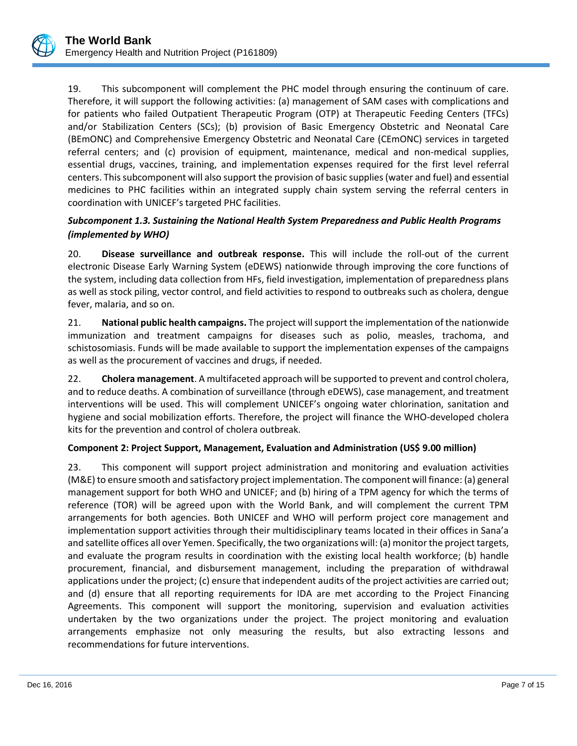

19. This subcomponent will complement the PHC model through ensuring the continuum of care. Therefore, it will support the following activities: (a) management of SAM cases with complications and for patients who failed Outpatient Therapeutic Program (OTP) at Therapeutic Feeding Centers (TFCs) and/or Stabilization Centers (SCs); (b) provision of Basic Emergency Obstetric and Neonatal Care (BEmONC) and Comprehensive Emergency Obstetric and Neonatal Care (CEmONC) services in targeted referral centers; and (c) provision of equipment, maintenance, medical and non-medical supplies, essential drugs, vaccines, training, and implementation expenses required for the first level referral centers. This subcomponent will also support the provision of basic supplies (water and fuel) and essential medicines to PHC facilities within an integrated supply chain system serving the referral centers in coordination with UNICEF's targeted PHC facilities.

## *Subcomponent 1.3. Sustaining the National Health System Preparedness and Public Health Programs (implemented by WHO)*

20. **Disease surveillance and outbreak response.** This will include the roll-out of the current electronic Disease Early Warning System (eDEWS) nationwide through improving the core functions of the system, including data collection from HFs, field investigation, implementation of preparedness plans as well as stock piling, vector control, and field activities to respond to outbreaks such as cholera, dengue fever, malaria, and so on.

21. **National public health campaigns.** The project will support the implementation of the nationwide immunization and treatment campaigns for diseases such as polio, measles, trachoma, and schistosomiasis. Funds will be made available to support the implementation expenses of the campaigns as well as the procurement of vaccines and drugs, if needed.

22. **Cholera management**. A multifaceted approach will be supported to prevent and control cholera, and to reduce deaths. A combination of surveillance (through eDEWS), case management, and treatment interventions will be used. This will complement UNICEF's ongoing water chlorination, sanitation and hygiene and social mobilization efforts. Therefore, the project will finance the WHO-developed cholera kits for the prevention and control of cholera outbreak.

## **Component 2: Project Support, Management, Evaluation and Administration (US\$ 9.00 million)**

23. This component will support project administration and monitoring and evaluation activities (M&E) to ensure smooth and satisfactory project implementation. The component will finance: (a) general management support for both WHO and UNICEF; and (b) hiring of a TPM agency for which the terms of reference (TOR) will be agreed upon with the World Bank, and will complement the current TPM arrangements for both agencies. Both UNICEF and WHO will perform project core management and implementation support activities through their multidisciplinary teams located in their offices in Sana'a and satellite offices all over Yemen. Specifically, the two organizations will: (a) monitor the project targets, and evaluate the program results in coordination with the existing local health workforce; (b) handle procurement, financial, and disbursement management, including the preparation of withdrawal applications under the project; (c) ensure that independent audits of the project activities are carried out; and (d) ensure that all reporting requirements for IDA are met according to the Project Financing Agreements. This component will support the monitoring, supervision and evaluation activities undertaken by the two organizations under the project. The project monitoring and evaluation arrangements emphasize not only measuring the results, but also extracting lessons and recommendations for future interventions.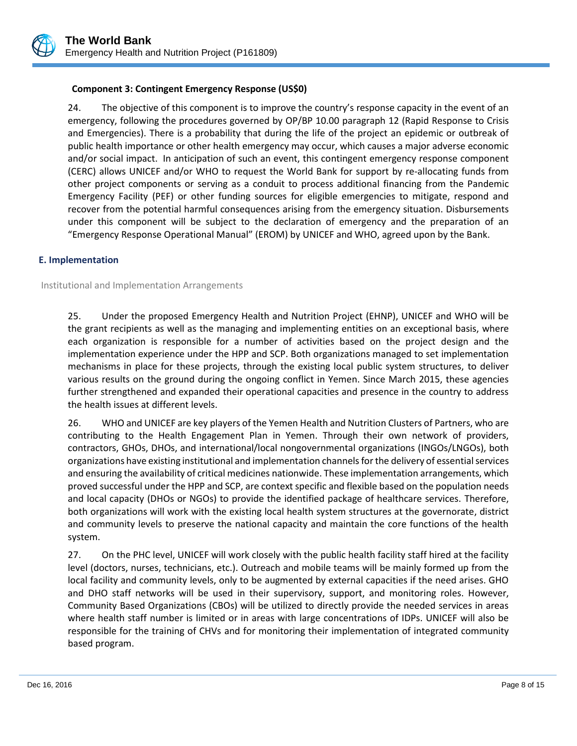

## **Component 3: Contingent Emergency Response (US\$0)**

24. The objective of this component is to improve the country's response capacity in the event of an emergency, following the procedures governed by OP/BP 10.00 paragraph 12 (Rapid Response to Crisis and Emergencies). There is a probability that during the life of the project an epidemic or outbreak of public health importance or other health emergency may occur, which causes a major adverse economic and/or social impact. In anticipation of such an event, this contingent emergency response component (CERC) allows UNICEF and/or WHO to request the World Bank for support by re-allocating funds from other project components or serving as a conduit to process additional financing from the Pandemic Emergency Facility (PEF) or other funding sources for eligible emergencies to mitigate, respond and recover from the potential harmful consequences arising from the emergency situation. Disbursements under this component will be subject to the declaration of emergency and the preparation of an "Emergency Response Operational Manual" (EROM) by UNICEF and WHO, agreed upon by the Bank.

### **E. Implementation**

Institutional and Implementation Arrangements

25. Under the proposed Emergency Health and Nutrition Project (EHNP), UNICEF and WHO will be the grant recipients as well as the managing and implementing entities on an exceptional basis, where each organization is responsible for a number of activities based on the project design and the implementation experience under the HPP and SCP. Both organizations managed to set implementation mechanisms in place for these projects, through the existing local public system structures, to deliver various results on the ground during the ongoing conflict in Yemen. Since March 2015, these agencies further strengthened and expanded their operational capacities and presence in the country to address the health issues at different levels.

26. WHO and UNICEF are key players of the Yemen Health and Nutrition Clusters of Partners, who are contributing to the Health Engagement Plan in Yemen. Through their own network of providers, contractors, GHOs, DHOs, and international/local nongovernmental organizations (INGOs/LNGOs), both organizations have existing institutional and implementation channelsforthe delivery of essential services and ensuring the availability of critical medicines nationwide. These implementation arrangements, which proved successful under the HPP and SCP, are context specific and flexible based on the population needs and local capacity (DHOs or NGOs) to provide the identified package of healthcare services. Therefore, both organizations will work with the existing local health system structures at the governorate, district and community levels to preserve the national capacity and maintain the core functions of the health system.

27. On the PHC level, UNICEF will work closely with the public health facility staff hired at the facility level (doctors, nurses, technicians, etc.). Outreach and mobile teams will be mainly formed up from the local facility and community levels, only to be augmented by external capacities if the need arises. GHO and DHO staff networks will be used in their supervisory, support, and monitoring roles. However, Community Based Organizations (CBOs) will be utilized to directly provide the needed services in areas where health staff number is limited or in areas with large concentrations of IDPs. UNICEF will also be responsible for the training of CHVs and for monitoring their implementation of integrated community based program.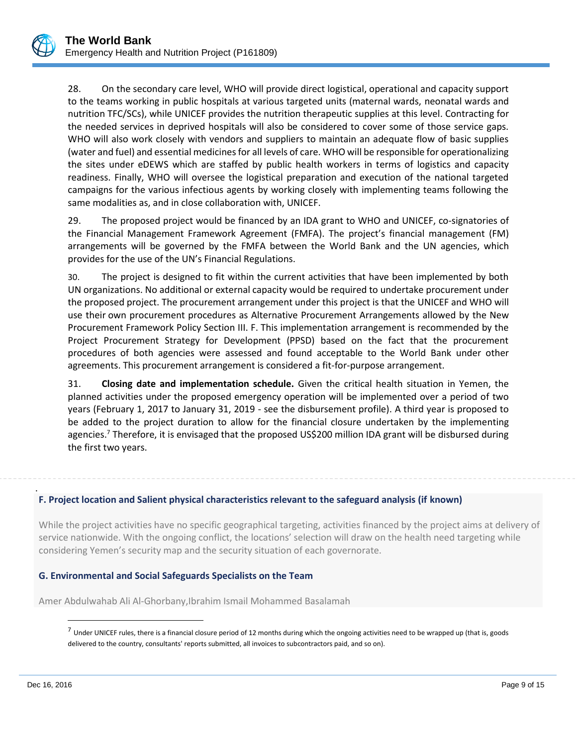

28. On the secondary care level, WHO will provide direct logistical, operational and capacity support to the teams working in public hospitals at various targeted units (maternal wards, neonatal wards and nutrition TFC/SCs), while UNICEF provides the nutrition therapeutic supplies at this level. Contracting for the needed services in deprived hospitals will also be considered to cover some of those service gaps. WHO will also work closely with vendors and suppliers to maintain an adequate flow of basic supplies (water and fuel) and essential medicines for all levels of care. WHO will be responsible for operationalizing the sites under eDEWS which are staffed by public health workers in terms of logistics and capacity readiness. Finally, WHO will oversee the logistical preparation and execution of the national targeted campaigns for the various infectious agents by working closely with implementing teams following the same modalities as, and in close collaboration with, UNICEF.

29. The proposed project would be financed by an IDA grant to WHO and UNICEF, co-signatories of the Financial Management Framework Agreement (FMFA). The project's financial management (FM) arrangements will be governed by the FMFA between the World Bank and the UN agencies, which provides for the use of the UN's Financial Regulations.

30. The project is designed to fit within the current activities that have been implemented by both UN organizations. No additional or external capacity would be required to undertake procurement under the proposed project. The procurement arrangement under this project is that the UNICEF and WHO will use their own procurement procedures as Alternative Procurement Arrangements allowed by the New Procurement Framework Policy Section III. F. This implementation arrangement is recommended by the Project Procurement Strategy for Development (PPSD) based on the fact that the procurement procedures of both agencies were assessed and found acceptable to the World Bank under other agreements. This procurement arrangement is considered a fit-for-purpose arrangement.

31. **Closing date and implementation schedule.** Given the critical health situation in Yemen, the planned activities under the proposed emergency operation will be implemented over a period of two years (February 1, 2017 to January 31, 2019 - see the disbursement profile). A third year is proposed to be added to the project duration to allow for the financial closure undertaken by the implementing agencies.<sup>7</sup> Therefore, it is envisaged that the proposed US\$200 million IDA grant will be disbursed during the first two years.

#### . **F. Project location and Salient physical characteristics relevant to the safeguard analysis (if known)**

While the project activities have no specific geographical targeting, activities financed by the project aims at delivery of service nationwide. With the ongoing conflict, the locations' selection will draw on the health need targeting while considering Yemen's security map and the security situation of each governorate.

## **G. Environmental and Social Safeguards Specialists on the Team**

Amer Abdulwahab Ali Al-Ghorbany,Ibrahim Ismail Mohammed Basalamah

 $\overline{\phantom{a}}$ 

 $^7$  Under UNICEF rules, there is a financial closure period of 12 months during which the ongoing activities need to be wrapped up (that is, goods delivered to the country, consultants' reports submitted, all invoices to subcontractors paid, and so on).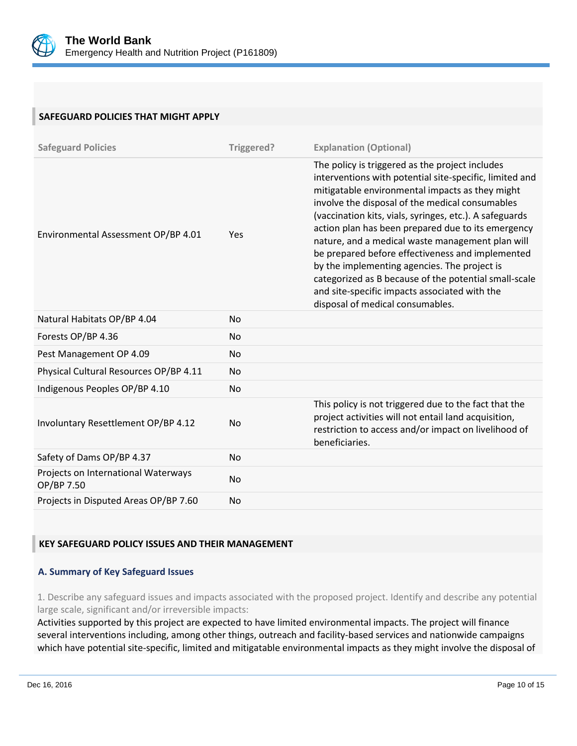

## **SAFEGUARD POLICIES THAT MIGHT APPLY**

| <b>Safeguard Policies</b>                         | Triggered? | <b>Explanation (Optional)</b>                                                                                                                                                                                                                                                                                                                                                                                                                                                                                                                                                                                                           |
|---------------------------------------------------|------------|-----------------------------------------------------------------------------------------------------------------------------------------------------------------------------------------------------------------------------------------------------------------------------------------------------------------------------------------------------------------------------------------------------------------------------------------------------------------------------------------------------------------------------------------------------------------------------------------------------------------------------------------|
| Environmental Assessment OP/BP 4.01               | Yes        | The policy is triggered as the project includes<br>interventions with potential site-specific, limited and<br>mitigatable environmental impacts as they might<br>involve the disposal of the medical consumables<br>(vaccination kits, vials, syringes, etc.). A safeguards<br>action plan has been prepared due to its emergency<br>nature, and a medical waste management plan will<br>be prepared before effectiveness and implemented<br>by the implementing agencies. The project is<br>categorized as B because of the potential small-scale<br>and site-specific impacts associated with the<br>disposal of medical consumables. |
| Natural Habitats OP/BP 4.04                       | <b>No</b>  |                                                                                                                                                                                                                                                                                                                                                                                                                                                                                                                                                                                                                                         |
| Forests OP/BP 4.36                                | No         |                                                                                                                                                                                                                                                                                                                                                                                                                                                                                                                                                                                                                                         |
| Pest Management OP 4.09                           | <b>No</b>  |                                                                                                                                                                                                                                                                                                                                                                                                                                                                                                                                                                                                                                         |
| Physical Cultural Resources OP/BP 4.11            | <b>No</b>  |                                                                                                                                                                                                                                                                                                                                                                                                                                                                                                                                                                                                                                         |
| Indigenous Peoples OP/BP 4.10                     | <b>No</b>  |                                                                                                                                                                                                                                                                                                                                                                                                                                                                                                                                                                                                                                         |
| Involuntary Resettlement OP/BP 4.12               | No         | This policy is not triggered due to the fact that the<br>project activities will not entail land acquisition,<br>restriction to access and/or impact on livelihood of<br>beneficiaries.                                                                                                                                                                                                                                                                                                                                                                                                                                                 |
| Safety of Dams OP/BP 4.37                         | <b>No</b>  |                                                                                                                                                                                                                                                                                                                                                                                                                                                                                                                                                                                                                                         |
| Projects on International Waterways<br>OP/BP 7.50 | No         |                                                                                                                                                                                                                                                                                                                                                                                                                                                                                                                                                                                                                                         |
| Projects in Disputed Areas OP/BP 7.60             | No         |                                                                                                                                                                                                                                                                                                                                                                                                                                                                                                                                                                                                                                         |

## **KEY SAFEGUARD POLICY ISSUES AND THEIR MANAGEMENT**

## **A. Summary of Key Safeguard Issues**

1. Describe any safeguard issues and impacts associated with the proposed project. Identify and describe any potential large scale, significant and/or irreversible impacts:

Activities supported by this project are expected to have limited environmental impacts. The project will finance several interventions including, among other things, outreach and facility-based services and nationwide campaigns which have potential site-specific, limited and mitigatable environmental impacts as they might involve the disposal of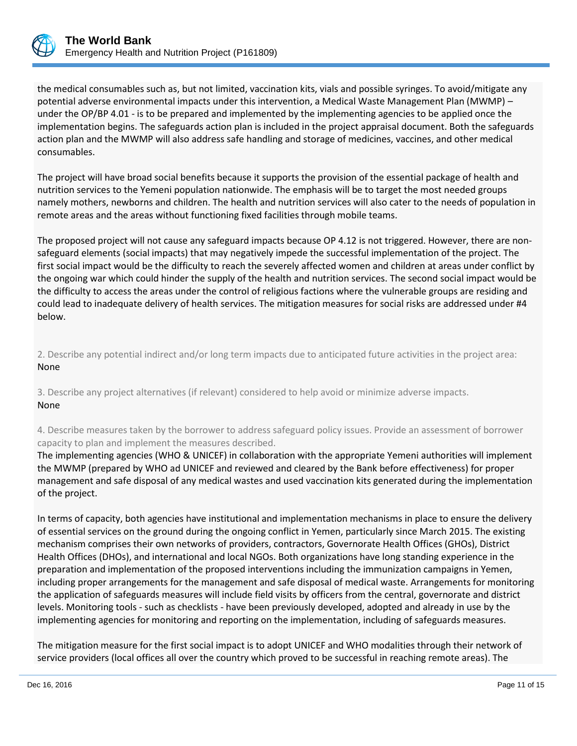

the medical consumables such as, but not limited, vaccination kits, vials and possible syringes. To avoid/mitigate any potential adverse environmental impacts under this intervention, a Medical Waste Management Plan (MWMP) – under the OP/BP 4.01 - is to be prepared and implemented by the implementing agencies to be applied once the implementation begins. The safeguards action plan is included in the project appraisal document. Both the safeguards action plan and the MWMP will also address safe handling and storage of medicines, vaccines, and other medical consumables.

The project will have broad social benefits because it supports the provision of the essential package of health and nutrition services to the Yemeni population nationwide. The emphasis will be to target the most needed groups namely mothers, newborns and children. The health and nutrition services will also cater to the needs of population in remote areas and the areas without functioning fixed facilities through mobile teams.

The proposed project will not cause any safeguard impacts because OP 4.12 is not triggered. However, there are nonsafeguard elements (social impacts) that may negatively impede the successful implementation of the project. The first social impact would be the difficulty to reach the severely affected women and children at areas under conflict by the ongoing war which could hinder the supply of the health and nutrition services. The second social impact would be the difficulty to access the areas under the control of religious factions where the vulnerable groups are residing and could lead to inadequate delivery of health services. The mitigation measures for social risks are addressed under #4 below.

2. Describe any potential indirect and/or long term impacts due to anticipated future activities in the project area: None

3. Describe any project alternatives (if relevant) considered to help avoid or minimize adverse impacts. None

4. Describe measures taken by the borrower to address safeguard policy issues. Provide an assessment of borrower capacity to plan and implement the measures described.

The implementing agencies (WHO & UNICEF) in collaboration with the appropriate Yemeni authorities will implement the MWMP (prepared by WHO ad UNICEF and reviewed and cleared by the Bank before effectiveness) for proper management and safe disposal of any medical wastes and used vaccination kits generated during the implementation of the project.

In terms of capacity, both agencies have institutional and implementation mechanisms in place to ensure the delivery of essential services on the ground during the ongoing conflict in Yemen, particularly since March 2015. The existing mechanism comprises their own networks of providers, contractors, Governorate Health Offices (GHOs), District Health Offices (DHOs), and international and local NGOs. Both organizations have long standing experience in the preparation and implementation of the proposed interventions including the immunization campaigns in Yemen, including proper arrangements for the management and safe disposal of medical waste. Arrangements for monitoring the application of safeguards measures will include field visits by officers from the central, governorate and district levels. Monitoring tools - such as checklists - have been previously developed, adopted and already in use by the implementing agencies for monitoring and reporting on the implementation, including of safeguards measures.

The mitigation measure for the first social impact is to adopt UNICEF and WHO modalities through their network of service providers (local offices all over the country which proved to be successful in reaching remote areas). The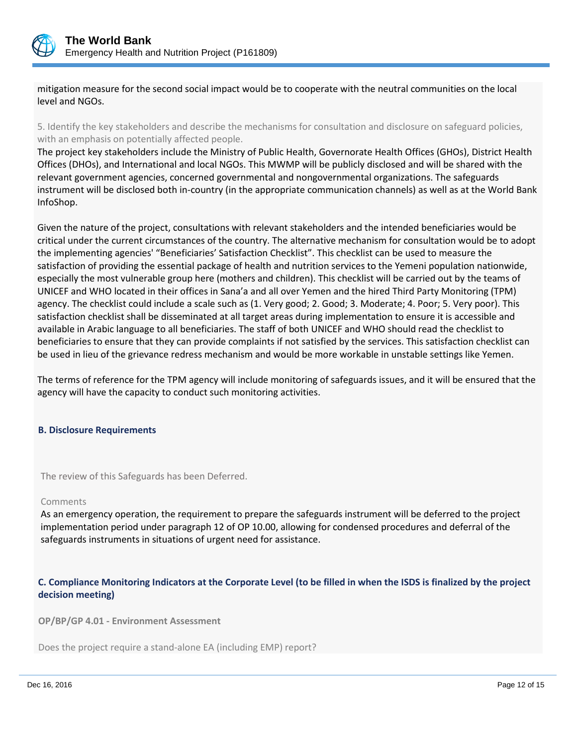

mitigation measure for the second social impact would be to cooperate with the neutral communities on the local level and NGOs.

5. Identify the key stakeholders and describe the mechanisms for consultation and disclosure on safeguard policies, with an emphasis on potentially affected people.

The project key stakeholders include the Ministry of Public Health, Governorate Health Offices (GHOs), District Health Offices (DHOs), and International and local NGOs. This MWMP will be publicly disclosed and will be shared with the relevant government agencies, concerned governmental and nongovernmental organizations. The safeguards instrument will be disclosed both in-country (in the appropriate communication channels) as well as at the World Bank InfoShop.

Given the nature of the project, consultations with relevant stakeholders and the intended beneficiaries would be critical under the current circumstances of the country. The alternative mechanism for consultation would be to adopt the implementing agencies' "Beneficiaries' Satisfaction Checklist". This checklist can be used to measure the satisfaction of providing the essential package of health and nutrition services to the Yemeni population nationwide, especially the most vulnerable group here (mothers and children). This checklist will be carried out by the teams of UNICEF and WHO located in their offices in Sana'a and all over Yemen and the hired Third Party Monitoring (TPM) agency. The checklist could include a scale such as (1. Very good; 2. Good; 3. Moderate; 4. Poor; 5. Very poor). This satisfaction checklist shall be disseminated at all target areas during implementation to ensure it is accessible and available in Arabic language to all beneficiaries. The staff of both UNICEF and WHO should read the checklist to beneficiaries to ensure that they can provide complaints if not satisfied by the services. This satisfaction checklist can be used in lieu of the grievance redress mechanism and would be more workable in unstable settings like Yemen.

The terms of reference for the TPM agency will include monitoring of safeguards issues, and it will be ensured that the agency will have the capacity to conduct such monitoring activities.

#### **B. Disclosure Requirements**

The review of this Safeguards has been Deferred.

#### Comments

As an emergency operation, the requirement to prepare the safeguards instrument will be deferred to the project implementation period under paragraph 12 of OP 10.00, allowing for condensed procedures and deferral of the safeguards instruments in situations of urgent need for assistance.

## **C. Compliance Monitoring Indicators at the Corporate Level (to be filled in when the ISDS is finalized by the project decision meeting)**

**OP/BP/GP 4.01 - Environment Assessment** 

Does the project require a stand-alone EA (including EMP) report?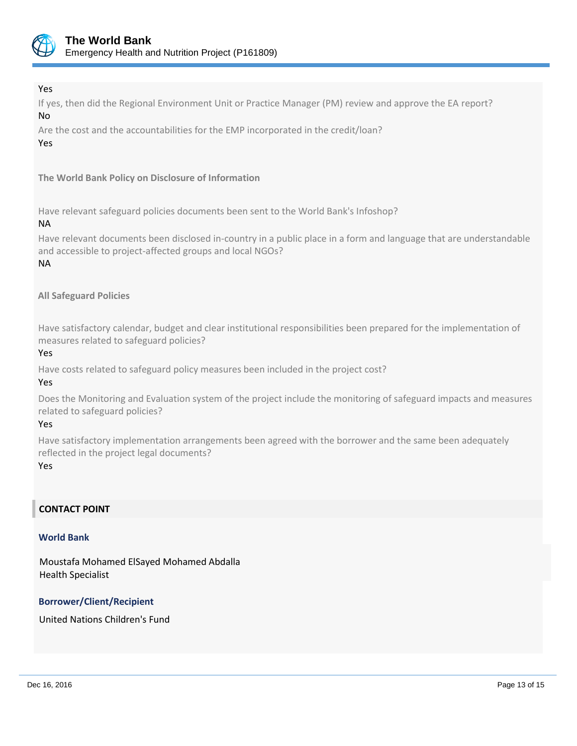

## Yes

If yes, then did the Regional Environment Unit or Practice Manager (PM) review and approve the EA report? No

Are the cost and the accountabilities for the EMP incorporated in the credit/loan? Yes

## **The World Bank Policy on Disclosure of Information**

Have relevant safeguard policies documents been sent to the World Bank's Infoshop?

### NA

Have relevant documents been disclosed in-country in a public place in a form and language that are understandable and accessible to project-affected groups and local NGOs?

## NA

## **All Safeguard Policies**

Have satisfactory calendar, budget and clear institutional responsibilities been prepared for the implementation of measures related to safeguard policies?

## Yes

Have costs related to safeguard policy measures been included in the project cost?

## Yes

Does the Monitoring and Evaluation system of the project include the monitoring of safeguard impacts and measures related to safeguard policies?

#### Yes

Have satisfactory implementation arrangements been agreed with the borrower and the same been adequately reflected in the project legal documents?

#### Yes

## **CONTACT POINT**

#### **World Bank**

Moustafa Mohamed ElSayed Mohamed Abdalla Health Specialist

## **Borrower/Client/Recipient**

United Nations Children's Fund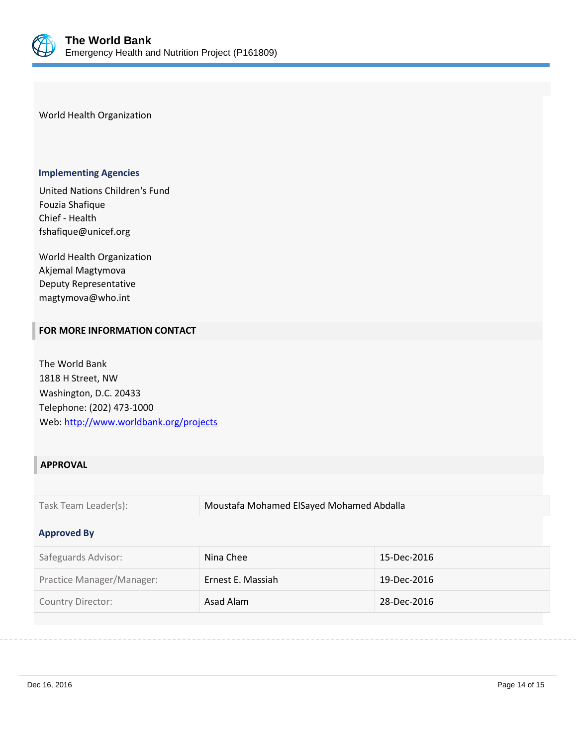

World Health Organization

#### **Implementing Agencies**

United Nations Children's Fund Fouzia Shafique Chief - Health fshafique@unicef.org

World Health Organization Akjemal Magtymova Deputy Representative magtymova@who.int

### **FOR MORE INFORMATION CONTACT**

The World Bank 1818 H Street, NW Washington, D.C. 20433 Telephone: (202) 473-1000 Web:<http://www.worldbank.org/projects>

## **APPROVAL**

Task Team Leader(s): Moustafa Mohamed ElSayed Mohamed Abdalla

#### **Approved By**

| Safeguards Advisor:       | Nina Chee         | 15-Dec-2016 |
|---------------------------|-------------------|-------------|
| Practice Manager/Manager: | Ernest E. Massiah | 19-Dec-2016 |
| Country Director:         | Asad Alam         | 28-Dec-2016 |